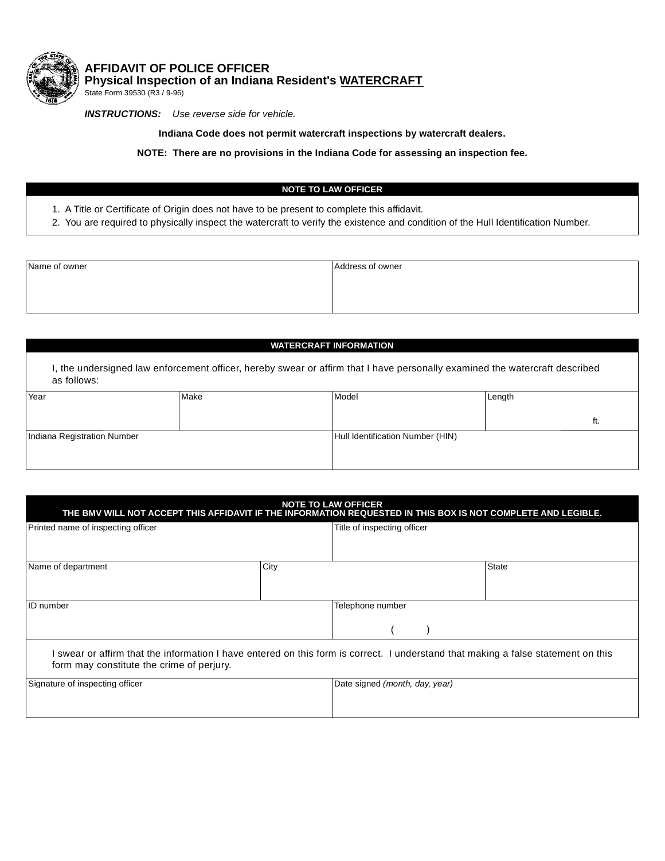

**AFFIDAVIT OF POLICE OFFICER Physical Inspection of an Indiana Resident's WATERCRAFT**

State Form 39530 (R3 / 9-96)

*INSTRUCTIONS: Use reverse side for vehicle.*

**Indiana Code does not permit watercraft inspections by watercraft dealers.**

**NOTE: There are no provisions in the Indiana Code for assessing an inspection fee.**

## **NOTE TO LAW OFFICER**

- 1. A Title or Certificate of Origin does not have to be present to complete this affidavit.
- 2. You are required to physically inspect the watercraft to verify the existence and condition of the Hull Identification Number.

| Name of owner | Address of owner |
|---------------|------------------|
|               |                  |
|               |                  |
|               |                  |

## **WATERCRAFT INFORMATION**

I, the undersigned law enforcement officer, hereby swear or affirm that I have personally examined the watercraft described as follows:

| Year                        | Make | Model                            | Length |  |
|-----------------------------|------|----------------------------------|--------|--|
|                             |      |                                  | п.     |  |
| Indiana Registration Number |      | Hull Identification Number (HIN) |        |  |
|                             |      |                                  |        |  |
|                             |      |                                  |        |  |

| <b>NOTE TO LAW OFFICER</b><br>THE BMV WILL NOT ACCEPT THIS AFFIDAVIT IF THE INFORMATION REQUESTED IN THIS BOX IS NOT COMPLETE AND LEGIBLE.                                     |      |                                |  |       |
|--------------------------------------------------------------------------------------------------------------------------------------------------------------------------------|------|--------------------------------|--|-------|
| Printed name of inspecting officer                                                                                                                                             |      | Title of inspecting officer    |  |       |
| Name of department                                                                                                                                                             | City |                                |  | State |
| ID number                                                                                                                                                                      |      | Telephone number               |  |       |
| I swear or affirm that the information I have entered on this form is correct. I understand that making a false statement on this<br>form may constitute the crime of perjury. |      |                                |  |       |
| Signature of inspecting officer                                                                                                                                                |      | Date signed (month, day, year) |  |       |